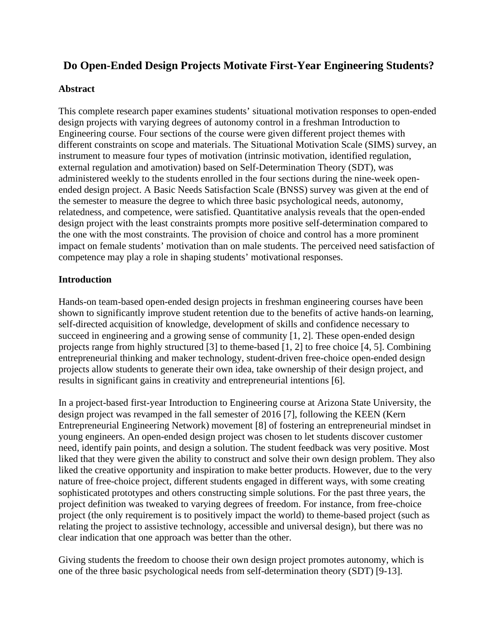# **Do Open-Ended Design Projects Motivate First-Year Engineering Students?**

### **Abstract**

This complete research paper examines students' situational motivation responses to open-ended design projects with varying degrees of autonomy control in a freshman Introduction to Engineering course. Four sections of the course were given different project themes with different constraints on scope and materials. The Situational Motivation Scale (SIMS) survey, an instrument to measure four types of motivation (intrinsic motivation, identified regulation, external regulation and amotivation) based on Self-Determination Theory (SDT), was administered weekly to the students enrolled in the four sections during the nine-week openended design project. A Basic Needs Satisfaction Scale (BNSS) survey was given at the end of the semester to measure the degree to which three basic psychological needs, autonomy, relatedness, and competence, were satisfied. Quantitative analysis reveals that the open-ended design project with the least constraints prompts more positive self-determination compared to the one with the most constraints. The provision of choice and control has a more prominent impact on female students' motivation than on male students. The perceived need satisfaction of competence may play a role in shaping students' motivational responses.

### **Introduction**

Hands-on team-based open-ended design projects in freshman engineering courses have been shown to significantly improve student retention due to the benefits of active hands-on learning, self-directed acquisition of knowledge, development of skills and confidence necessary to succeed in engineering and a growing sense of community [1, 2]. These open-ended design projects range from highly structured [3] to theme-based [1, 2] to free choice [4, 5]. Combining entrepreneurial thinking and maker technology, student-driven free-choice open-ended design projects allow students to generate their own idea, take ownership of their design project, and results in significant gains in creativity and entrepreneurial intentions [6].

In a project-based first-year Introduction to Engineering course at Arizona State University, the design project was revamped in the fall semester of 2016 [7], following the KEEN (Kern Entrepreneurial Engineering Network) movement [8] of fostering an entrepreneurial mindset in young engineers. An open-ended design project was chosen to let students discover customer need, identify pain points, and design a solution. The student feedback was very positive. Most liked that they were given the ability to construct and solve their own design problem. They also liked the creative opportunity and inspiration to make better products. However, due to the very nature of free-choice project, different students engaged in different ways, with some creating sophisticated prototypes and others constructing simple solutions. For the past three years, the project definition was tweaked to varying degrees of freedom. For instance, from free-choice project (the only requirement is to positively impact the world) to theme-based project (such as relating the project to assistive technology, accessible and universal design), but there was no clear indication that one approach was better than the other.

Giving students the freedom to choose their own design project promotes autonomy, which is one of the three basic psychological needs from self-determination theory (SDT) [9-13].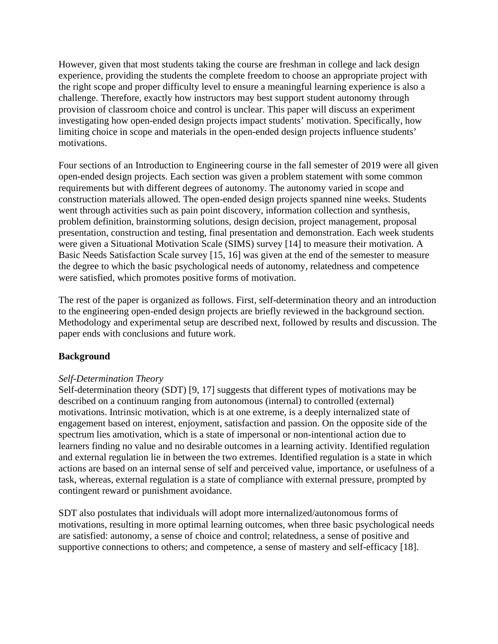However, given that most students taking the course are freshman in college and lack design experience, providing the students the complete freedom to choose an appropriate project with the right scope and proper difficulty level to ensure a meaningful learning experience is also a challenge. Therefore, exactly how instructors may best support student autonomy through provision of classroom choice and control is unclear. This paper will discuss an experiment investigating how open-ended design projects impact students' motivation. Specifically, how limiting choice in scope and materials in the open-ended design projects influence students' motivations.

Four sections of an Introduction to Engineering course in the fall semester of 2019 were all given open-ended design projects. Each section was given a problem statement with some common requirements but with different degrees of autonomy. The autonomy varied in scope and construction materials allowed. The open-ended design projects spanned nine weeks. Students went through activities such as pain point discovery, information collection and synthesis, problem definition, brainstorming solutions, design decision, project management, proposal presentation, construction and testing, final presentation and demonstration. Each week students were given a Situational Motivation Scale (SIMS) survey [14] to measure their motivation. A Basic Needs Satisfaction Scale survey [15, 16] was given at the end of the semester to measure the degree to which the basic psychological needs of autonomy, relatedness and competence were satisfied, which promotes positive forms of motivation.

The rest of the paper is organized as follows. First, self-determination theory and an introduction to the engineering open-ended design projects are briefly reviewed in the background section. Methodology and experimental setup are described next, followed by results and discussion. The paper ends with conclusions and future work.

# **Background**

#### *Self-Determination Theory*

Self-determination theory (SDT) [9, 17] suggests that different types of motivations may be described on a continuum ranging from autonomous (internal) to controlled (external) motivations. Intrinsic motivation, which is at one extreme, is a deeply internalized state of engagement based on interest, enjoyment, satisfaction and passion. On the opposite side of the spectrum lies amotivation, which is a state of impersonal or non-intentional action due to learners finding no value and no desirable outcomes in a learning activity. Identified regulation and external regulation lie in between the two extremes. Identified regulation is a state in which actions are based on an internal sense of self and perceived value, importance, or usefulness of a task, whereas, external regulation is a state of compliance with external pressure, prompted by contingent reward or punishment avoidance.

SDT also postulates that individuals will adopt more internalized/autonomous forms of motivations, resulting in more optimal learning outcomes, when three basic psychological needs are satisfied: autonomy, a sense of choice and control; relatedness, a sense of positive and supportive connections to others; and competence, a sense of mastery and self-efficacy [18].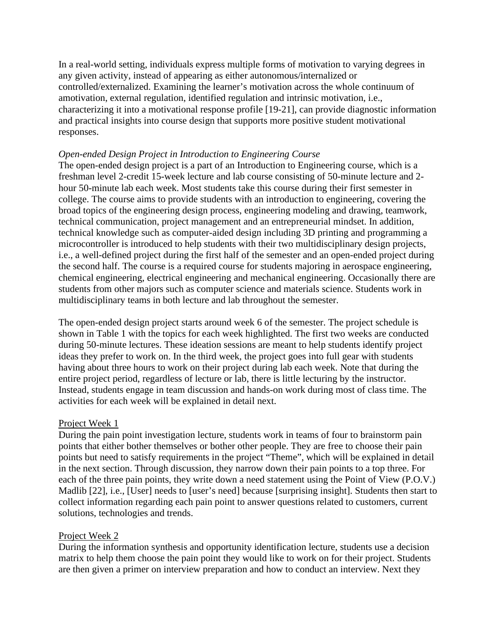In a real-world setting, individuals express multiple forms of motivation to varying degrees in any given activity, instead of appearing as either autonomous/internalized or controlled/externalized. Examining the learner's motivation across the whole continuum of amotivation, external regulation, identified regulation and intrinsic motivation, i.e., characterizing it into a motivational response profile [19-21], can provide diagnostic information and practical insights into course design that supports more positive student motivational responses.

#### *Open-ended Design Project in Introduction to Engineering Course*

The open-ended design project is a part of an Introduction to Engineering course, which is a freshman level 2-credit 15-week lecture and lab course consisting of 50-minute lecture and 2 hour 50-minute lab each week. Most students take this course during their first semester in college. The course aims to provide students with an introduction to engineering, covering the broad topics of the engineering design process, engineering modeling and drawing, teamwork, technical communication, project management and an entrepreneurial mindset. In addition, technical knowledge such as computer-aided design including 3D printing and programming a microcontroller is introduced to help students with their two multidisciplinary design projects, i.e., a well-defined project during the first half of the semester and an open-ended project during the second half. The course is a required course for students majoring in aerospace engineering, chemical engineering, electrical engineering and mechanical engineering. Occasionally there are students from other majors such as computer science and materials science. Students work in multidisciplinary teams in both lecture and lab throughout the semester.

The open-ended design project starts around week 6 of the semester. The project schedule is shown in Table 1 with the topics for each week highlighted. The first two weeks are conducted during 50-minute lectures. These ideation sessions are meant to help students identify project ideas they prefer to work on. In the third week, the project goes into full gear with students having about three hours to work on their project during lab each week. Note that during the entire project period, regardless of lecture or lab, there is little lecturing by the instructor. Instead, students engage in team discussion and hands-on work during most of class time. The activities for each week will be explained in detail next.

#### Project Week 1

During the pain point investigation lecture, students work in teams of four to brainstorm pain points that either bother themselves or bother other people. They are free to choose their pain points but need to satisfy requirements in the project "Theme", which will be explained in detail in the next section. Through discussion, they narrow down their pain points to a top three. For each of the three pain points, they write down a need statement using the Point of View (P.O.V.) Madlib [22], i.e., [User] needs to [user's need] because [surprising insight]. Students then start to collect information regarding each pain point to answer questions related to customers, current solutions, technologies and trends.

#### Project Week 2

During the information synthesis and opportunity identification lecture, students use a decision matrix to help them choose the pain point they would like to work on for their project. Students are then given a primer on interview preparation and how to conduct an interview. Next they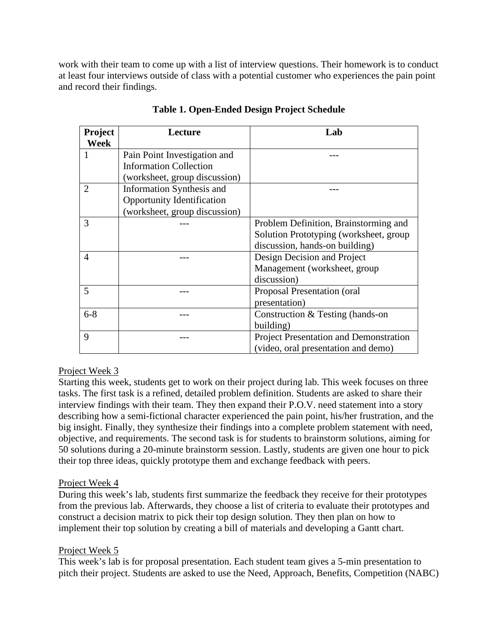work with their team to come up with a list of interview questions. Their homework is to conduct at least four interviews outside of class with a potential customer who experiences the pain point and record their findings.

| <b>Project</b><br>Week | Lecture                           | Lab                                    |
|------------------------|-----------------------------------|----------------------------------------|
| 1                      | Pain Point Investigation and      |                                        |
|                        | <b>Information Collection</b>     |                                        |
|                        | (worksheet, group discussion)     |                                        |
| 2                      | Information Synthesis and         |                                        |
|                        | <b>Opportunity Identification</b> |                                        |
|                        | (worksheet, group discussion)     |                                        |
| 3                      |                                   | Problem Definition, Brainstorming and  |
|                        |                                   | Solution Prototyping (worksheet, group |
|                        |                                   | discussion, hands-on building)         |
| $\overline{4}$         |                                   | Design Decision and Project            |
|                        |                                   | Management (worksheet, group           |
|                        |                                   | discussion)                            |
| 5                      |                                   | Proposal Presentation (oral            |
|                        |                                   | presentation)                          |
| $6 - 8$                |                                   | Construction & Testing (hands-on       |
|                        |                                   | building)                              |
| 9                      |                                   | Project Presentation and Demonstration |
|                        |                                   | (video, oral presentation and demo)    |

**Table 1. Open-Ended Design Project Schedule**

# Project Week 3

Starting this week, students get to work on their project during lab. This week focuses on three tasks. The first task is a refined, detailed problem definition. Students are asked to share their interview findings with their team. They then expand their P.O.V. need statement into a story describing how a semi-fictional character experienced the pain point, his/her frustration, and the big insight. Finally, they synthesize their findings into a complete problem statement with need, objective, and requirements. The second task is for students to brainstorm solutions, aiming for 50 solutions during a 20-minute brainstorm session. Lastly, students are given one hour to pick their top three ideas, quickly prototype them and exchange feedback with peers.

# Project Week 4

During this week's lab, students first summarize the feedback they receive for their prototypes from the previous lab. Afterwards, they choose a list of criteria to evaluate their prototypes and construct a decision matrix to pick their top design solution. They then plan on how to implement their top solution by creating a bill of materials and developing a Gantt chart.

# Project Week 5

This week's lab is for proposal presentation. Each student team gives a 5-min presentation to pitch their project. Students are asked to use the Need, Approach, Benefits, Competition (NABC)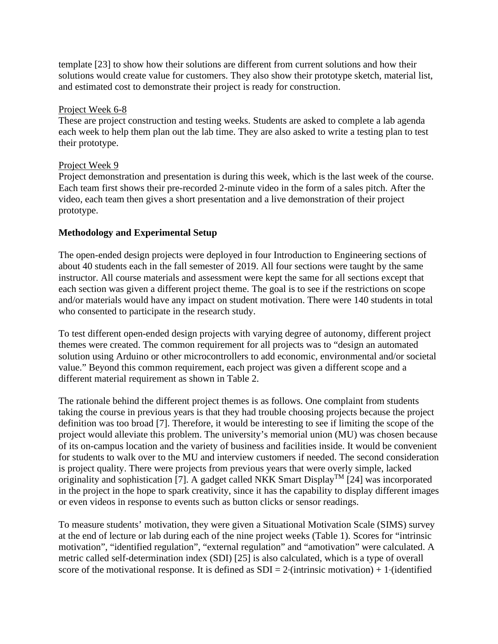template [23] to show how their solutions are different from current solutions and how their solutions would create value for customers. They also show their prototype sketch, material list, and estimated cost to demonstrate their project is ready for construction.

### Project Week 6-8

These are project construction and testing weeks. Students are asked to complete a lab agenda each week to help them plan out the lab time. They are also asked to write a testing plan to test their prototype.

### Project Week 9

Project demonstration and presentation is during this week, which is the last week of the course. Each team first shows their pre-recorded 2-minute video in the form of a sales pitch. After the video, each team then gives a short presentation and a live demonstration of their project prototype.

# **Methodology and Experimental Setup**

The open-ended design projects were deployed in four Introduction to Engineering sections of about 40 students each in the fall semester of 2019. All four sections were taught by the same instructor. All course materials and assessment were kept the same for all sections except that each section was given a different project theme. The goal is to see if the restrictions on scope and/or materials would have any impact on student motivation. There were 140 students in total who consented to participate in the research study.

To test different open-ended design projects with varying degree of autonomy, different project themes were created. The common requirement for all projects was to "design an automated solution using Arduino or other microcontrollers to add economic, environmental and/or societal value." Beyond this common requirement, each project was given a different scope and a different material requirement as shown in Table 2.

The rationale behind the different project themes is as follows. One complaint from students taking the course in previous years is that they had trouble choosing projects because the project definition was too broad [7]. Therefore, it would be interesting to see if limiting the scope of the project would alleviate this problem. The university's memorial union (MU) was chosen because of its on-campus location and the variety of business and facilities inside. It would be convenient for students to walk over to the MU and interview customers if needed. The second consideration is project quality. There were projects from previous years that were overly simple, lacked originality and sophistication [7]. A gadget called NKK Smart DisplayTM [24] was incorporated in the project in the hope to spark creativity, since it has the capability to display different images or even videos in response to events such as button clicks or sensor readings.

To measure students' motivation, they were given a Situational Motivation Scale (SIMS) survey at the end of lecture or lab during each of the nine project weeks (Table 1). Scores for "intrinsic motivation", "identified regulation", "external regulation" and "amotivation" were calculated. A metric called self-determination index (SDI) [25] is also calculated, which is a type of overall score of the motivational response. It is defined as  $SDI = 2$ ·(intrinsic motivation) + 1·(identified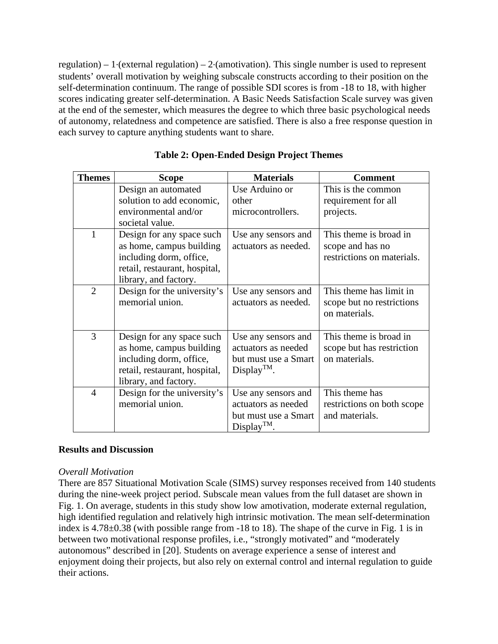regulation) – 1·(external regulation) – 2·(amotivation). This single number is used to represent students' overall motivation by weighing subscale constructs according to their position on the self-determination continuum. The range of possible SDI scores is from -18 to 18, with higher scores indicating greater self-determination. A Basic Needs Satisfaction Scale survey was given at the end of the semester, which measures the degree to which three basic psychological needs of autonomy, relatedness and competence are satisfied. There is also a free response question in each survey to capture anything students want to share.

| <b>Themes</b>  | <b>Scope</b>                                                                                                                               | <b>Materials</b>                                                                       | <b>Comment</b>                                                           |
|----------------|--------------------------------------------------------------------------------------------------------------------------------------------|----------------------------------------------------------------------------------------|--------------------------------------------------------------------------|
|                | Design an automated                                                                                                                        | Use Arduino or                                                                         | This is the common                                                       |
|                | solution to add economic,                                                                                                                  | other                                                                                  | requirement for all                                                      |
|                | environmental and/or<br>societal value.                                                                                                    | microcontrollers.                                                                      | projects.                                                                |
| 1              | Design for any space such<br>as home, campus building<br>including dorm, office,<br>retail, restaurant, hospital,<br>library, and factory. | Use any sensors and<br>actuators as needed.                                            | This theme is broad in<br>scope and has no<br>restrictions on materials. |
| $\overline{2}$ | Design for the university's<br>memorial union.                                                                                             | Use any sensors and<br>actuators as needed.                                            | This theme has limit in<br>scope but no restrictions<br>on materials.    |
| 3              | Design for any space such<br>as home, campus building<br>including dorm, office,<br>retail, restaurant, hospital,<br>library, and factory. | Use any sensors and<br>actuators as needed<br>but must use a Smart<br>$Display^{TM}$ . | This theme is broad in<br>scope but has restriction<br>on materials.     |
| 4              | Design for the university's<br>memorial union.                                                                                             | Use any sensors and<br>actuators as needed<br>but must use a Smart<br>$Display^{TM}$ . | This theme has<br>restrictions on both scope<br>and materials.           |

## **Table 2: Open-Ended Design Project Themes**

#### **Results and Discussion**

#### *Overall Motivation*

There are 857 Situational Motivation Scale (SIMS) survey responses received from 140 students during the nine-week project period. Subscale mean values from the full dataset are shown in Fig. 1. On average, students in this study show low amotivation, moderate external regulation, high identified regulation and relatively high intrinsic motivation. The mean self-determination index is 4.78±0.38 (with possible range from -18 to 18). The shape of the curve in Fig. 1 is in between two motivational response profiles, i.e., "strongly motivated" and "moderately autonomous" described in [20]. Students on average experience a sense of interest and enjoyment doing their projects, but also rely on external control and internal regulation to guide their actions.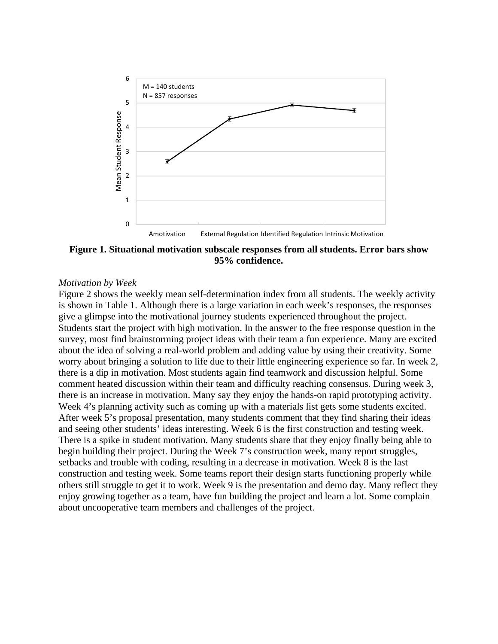

**Figure 1. Situational motivation subscale responses from all students. Error bars show 95% confidence.**

#### *Motivation by Week*

Figure 2 shows the weekly mean self-determination index from all students. The weekly activity is shown in Table 1. Although there is a large variation in each week's responses, the responses give a glimpse into the motivational journey students experienced throughout the project. Students start the project with high motivation. In the answer to the free response question in the survey, most find brainstorming project ideas with their team a fun experience. Many are excited about the idea of solving a real-world problem and adding value by using their creativity. Some worry about bringing a solution to life due to their little engineering experience so far. In week 2, there is a dip in motivation. Most students again find teamwork and discussion helpful. Some comment heated discussion within their team and difficulty reaching consensus. During week 3, there is an increase in motivation. Many say they enjoy the hands-on rapid prototyping activity. Week 4's planning activity such as coming up with a materials list gets some students excited. After week 5's proposal presentation, many students comment that they find sharing their ideas and seeing other students' ideas interesting. Week 6 is the first construction and testing week. There is a spike in student motivation. Many students share that they enjoy finally being able to begin building their project. During the Week 7's construction week, many report struggles, setbacks and trouble with coding, resulting in a decrease in motivation. Week 8 is the last construction and testing week. Some teams report their design starts functioning properly while others still struggle to get it to work. Week 9 is the presentation and demo day. Many reflect they enjoy growing together as a team, have fun building the project and learn a lot. Some complain about uncooperative team members and challenges of the project.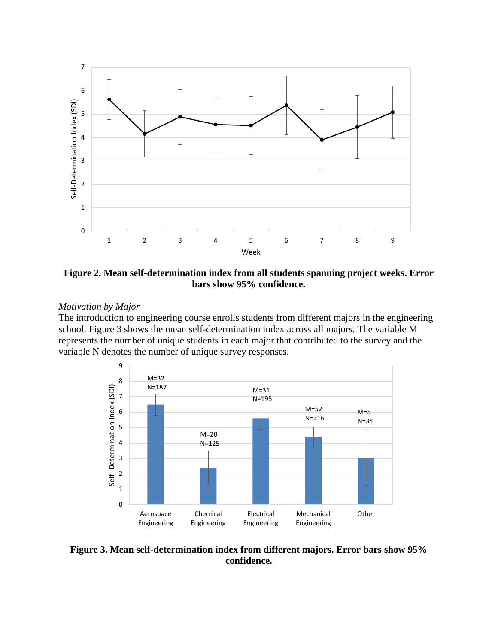

**Figure 2. Mean self-determination index from all students spanning project weeks. Error bars show 95% confidence.**

#### *Motivation by Major*

The introduction to engineering course enrolls students from different majors in the engineering school. Figure 3 shows the mean self-determination index across all majors. The variable M represents the number of unique students in each major that contributed to the survey and the variable N denotes the number of unique survey responses.



**Figure 3. Mean self-determination index from different majors. Error bars show 95% confidence.**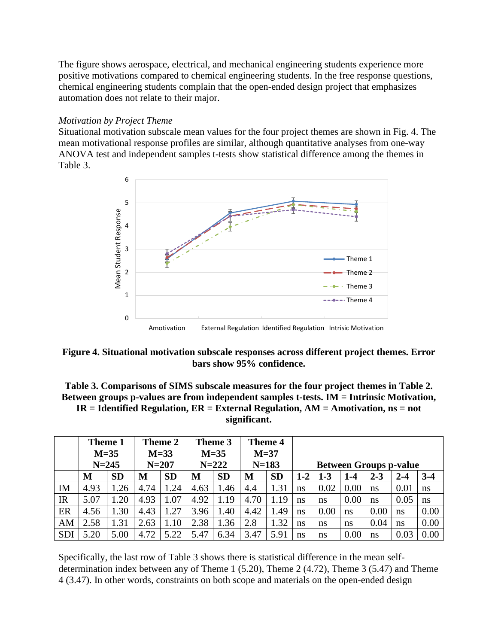The figure shows aerospace, electrical, and mechanical engineering students experience more positive motivations compared to chemical engineering students. In the free response questions, chemical engineering students complain that the open-ended design project that emphasizes automation does not relate to their major.

### *Motivation by Project Theme*

Situational motivation subscale mean values for the four project themes are shown in Fig. 4. The mean motivational response profiles are similar, although quantitative analyses from one-way ANOVA test and independent samples t-tests show statistical difference among the themes in Table 3.



**Figure 4. Situational motivation subscale responses across different project themes. Error bars show 95% confidence.** 

# **Table 3. Comparisons of SIMS subscale measures for the four project themes in Table 2. Between groups p-values are from independent samples t-tests. IM = Intrinsic Motivation, IR = Identified Regulation, ER = External Regulation, AM = Amotivation, ns = not significant.**

|             | Theme 1<br>$M=35$<br>$N = 245$ |           | Theme 2<br>$M=33$<br>$N = 207$ |           |      | Theme 3<br>$M=35$<br>$N = 222$ |      | Theme 4<br>$M=37$<br>$N = 183$ |         | <b>Between Groups p-value</b> |         |         |         |               |
|-------------|--------------------------------|-----------|--------------------------------|-----------|------|--------------------------------|------|--------------------------------|---------|-------------------------------|---------|---------|---------|---------------|
|             | М                              | <b>SD</b> | M                              | <b>SD</b> | М    | <b>SD</b>                      | М    | <b>SD</b>                      | $1 - 2$ | $1 - 3$                       | $1 - 4$ | $2 - 3$ | $2 - 4$ | $3-4$         |
| IM          | 4.93                           | .26       | 4.74                           | .24       | 4.63 | 1.46                           | 4.4  | 1.31                           | ns      | 0.02                          | 0.00    | ns      | 0.01    | <sub>ns</sub> |
| $_{\rm IR}$ | 5.07                           | .20       | 4.93                           | 1.07      | 4.92 | 1.19                           | 4.70 | 1.19                           | ns      | ns                            | 0.00    | ns      | 0.05    | <sub>ns</sub> |
| ER          | 4.56                           | 1.30      | 4.43                           | .27       | 3.96 | 1.40                           | 4.42 | 1.49                           | ns      | 0.00                          | ns      | 0.00    | ns      | 0.00          |
| AM          | 2.58                           | 1.31      | 2.63                           | 1.10      | 2.38 | 1.36                           | 2.8  | .32                            | ns      | ns                            | ns      | 0.04    | ns      | 0.00          |
| <b>SDI</b>  | 5.20                           | 5.00      | 4.72                           | 5.22      | 5.47 | 6.34                           | 3.47 | 5.91                           | ns      | ns                            | 0.00    | ns      | 0.03    | 0.00          |

Specifically, the last row of Table 3 shows there is statistical difference in the mean selfdetermination index between any of Theme 1 (5.20), Theme 2 (4.72), Theme 3 (5.47) and Theme 4 (3.47). In other words, constraints on both scope and materials on the open-ended design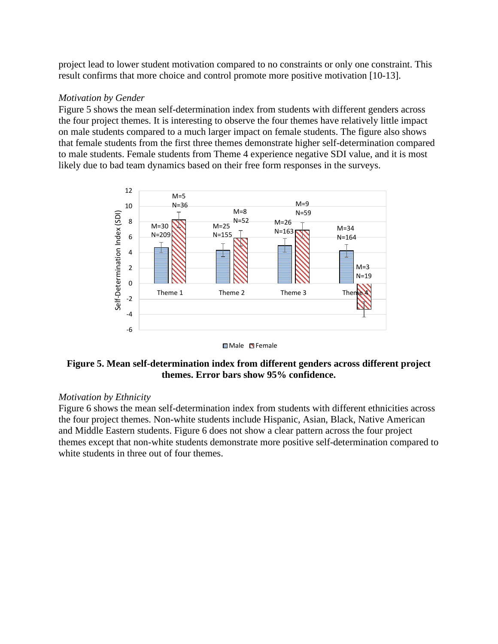project lead to lower student motivation compared to no constraints or only one constraint. This result confirms that more choice and control promote more positive motivation [10-13].

### *Motivation by Gender*

Figure 5 shows the mean self-determination index from students with different genders across the four project themes. It is interesting to observe the four themes have relatively little impact on male students compared to a much larger impact on female students. The figure also shows that female students from the first three themes demonstrate higher self-determination compared to male students. Female students from Theme 4 experience negative SDI value, and it is most likely due to bad team dynamics based on their free form responses in the surveys.





### **Figure 5. Mean self-determination index from different genders across different project themes. Error bars show 95% confidence.**

#### *Motivation by Ethnicity*

Figure 6 shows the mean self-determination index from students with different ethnicities across the four project themes. Non-white students include Hispanic, Asian, Black, Native American and Middle Eastern students. Figure 6 does not show a clear pattern across the four project themes except that non-white students demonstrate more positive self-determination compared to white students in three out of four themes.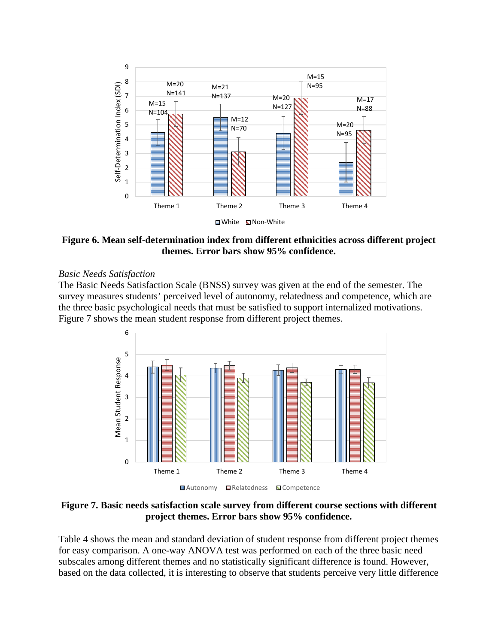

**Figure 6. Mean self-determination index from different ethnicities across different project themes. Error bars show 95% confidence.** 

#### *Basic Needs Satisfaction*

The Basic Needs Satisfaction Scale (BNSS) survey was given at the end of the semester. The survey measures students' perceived level of autonomy, relatedness and competence, which are the three basic psychological needs that must be satisfied to support internalized motivations. Figure 7 shows the mean student response from different project themes.



**Figure 7. Basic needs satisfaction scale survey from different course sections with different project themes. Error bars show 95% confidence.**

Table 4 shows the mean and standard deviation of student response from different project themes for easy comparison. A one-way ANOVA test was performed on each of the three basic need subscales among different themes and no statistically significant difference is found. However, based on the data collected, it is interesting to observe that students perceive very little difference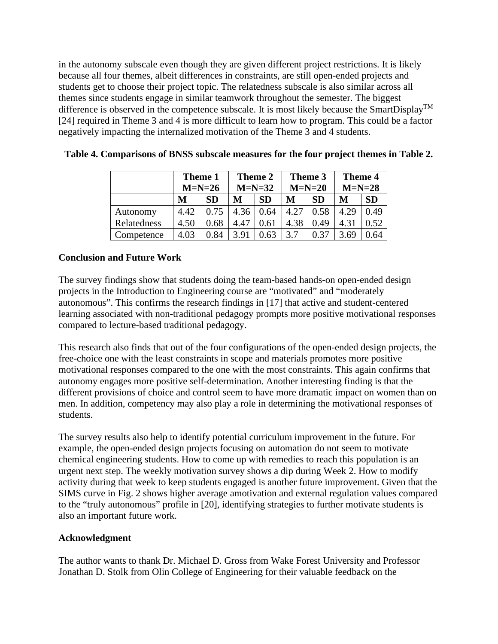in the autonomy subscale even though they are given different project restrictions. It is likely because all four themes, albeit differences in constraints, are still open-ended projects and students get to choose their project topic. The relatedness subscale is also similar across all themes since students engage in similar teamwork throughout the semester. The biggest difference is observed in the competence subscale. It is most likely because the SmartDisplay<sup>TM</sup> [24] required in Theme 3 and 4 is more difficult to learn how to program. This could be a factor negatively impacting the internalized motivation of the Theme 3 and 4 students.

|             | Theme 1<br>$M=N=26$ |      | Theme 2<br>$M=N=32$ |      | Theme 3<br>$M=N=20$ |           | <b>Theme 4</b><br>$M=N=28$ |           |
|-------------|---------------------|------|---------------------|------|---------------------|-----------|----------------------------|-----------|
|             | <b>SD</b><br>M      |      | M                   | SD   | M                   | <b>SD</b> | M                          | <b>SD</b> |
| Autonomy    | 4.42                | 0.75 | 4.36                | 0.64 | 4.27                | 0.58      | 4.29                       | 0.49      |
| Relatedness | 4.50                | ).68 | 4.47                | 0.61 | 4.38                | 0.49      | 4.31                       | 0.52      |
| Competence  | 4.03                | 0.84 | 3.91                | ገ 63 | 3.7                 |           | 3.69                       | ').64     |

| Table 4. Comparisons of BNSS subscale measures for the four project themes in Table 2. |  |  |  |  |
|----------------------------------------------------------------------------------------|--|--|--|--|
|----------------------------------------------------------------------------------------|--|--|--|--|

### **Conclusion and Future Work**

The survey findings show that students doing the team-based hands-on open-ended design projects in the Introduction to Engineering course are "motivated" and "moderately autonomous". This confirms the research findings in [17] that active and student-centered learning associated with non-traditional pedagogy prompts more positive motivational responses compared to lecture-based traditional pedagogy.

This research also finds that out of the four configurations of the open-ended design projects, the free-choice one with the least constraints in scope and materials promotes more positive motivational responses compared to the one with the most constraints. This again confirms that autonomy engages more positive self-determination. Another interesting finding is that the different provisions of choice and control seem to have more dramatic impact on women than on men. In addition, competency may also play a role in determining the motivational responses of students.

The survey results also help to identify potential curriculum improvement in the future. For example, the open-ended design projects focusing on automation do not seem to motivate chemical engineering students. How to come up with remedies to reach this population is an urgent next step. The weekly motivation survey shows a dip during Week 2. How to modify activity during that week to keep students engaged is another future improvement. Given that the SIMS curve in Fig. 2 shows higher average amotivation and external regulation values compared to the "truly autonomous" profile in [20], identifying strategies to further motivate students is also an important future work.

#### **Acknowledgment**

The author wants to thank Dr. Michael D. Gross from Wake Forest University and Professor Jonathan D. Stolk from Olin College of Engineering for their valuable feedback on the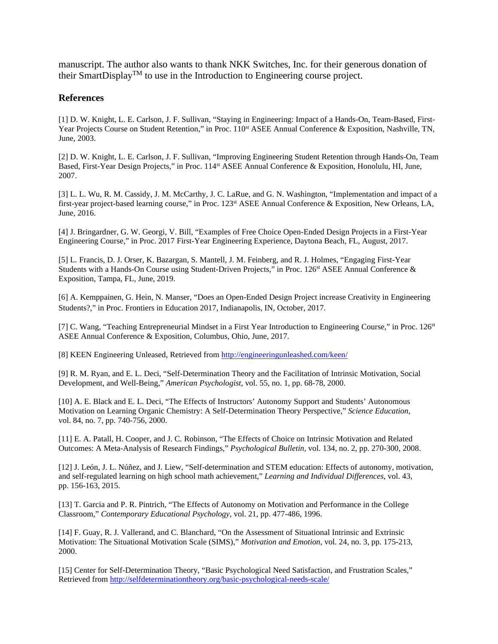manuscript. The author also wants to thank NKK Switches, Inc. for their generous donation of their SmartDisplay<sup>TM</sup> to use in the Introduction to Engineering course project.

#### **References**

[1] D. W. Knight, L. E. Carlson, J. F. Sullivan, "Staying in Engineering: Impact of a Hands-On, Team-Based, First-Year Projects Course on Student Retention," in Proc. 110<sup>st</sup> ASEE Annual Conference & Exposition, Nashville, TN, June, 2003.

[2] D. W. Knight, L. E. Carlson, J. F. Sullivan, "Improving Engineering Student Retention through Hands-On, Team Based, First-Year Design Projects," in Proc. 114st ASEE Annual Conference & Exposition, Honolulu, HI, June, 2007.

[3] L. L. Wu, R. M. Cassidy, J. M. McCarthy, J. C. LaRue, and G. N. Washington, "Implementation and impact of a first-year project-based learning course," in Proc. 123<sup>st</sup> ASEE Annual Conference & Exposition, New Orleans, LA, June, 2016.

[4] J. Bringardner, G. W. Georgi, V. Bill, "Examples of Free Choice Open-Ended Design Projects in a First-Year Engineering Course," in Proc. 2017 First-Year Engineering Experience, Daytona Beach, FL, August, 2017.

[5] L. Francis, D. J. Orser, K. Bazargan, S. Mantell, J. M. Feinberg, and R. J. Holmes, "Engaging First-Year Students with a Hands-On Course using Student-Driven Projects," in Proc. 126<sup>st</sup> ASEE Annual Conference & Exposition, Tampa, FL, June, 2019.

[6] A. Kemppainen, G. Hein, N. Manser, "Does an Open-Ended Design Project increase Creativity in Engineering Students?," in Proc. Frontiers in Education 2017, Indianapolis, IN, October, 2017.

[7] C. Wang, "Teaching Entrepreneurial Mindset in a First Year Introduction to Engineering Course," in Proc. 126<sup>st</sup> ASEE Annual Conference & Exposition, Columbus, Ohio, June, 2017.

[8] KEEN Engineering Unleased, Retrieved from <http://engineeringunleashed.com/keen/>

[9] R. M. Ryan, and E. L. Deci, "Self-Determination Theory and the Facilitation of Intrinsic Motivation, Social Development, and Well-Being," *American Psychologist*, vol. 55, no. 1, pp. 68-78, 2000.

[10] A. E. Black and E. L. Deci, "The Effects of Instructors' Autonomy Support and Students' Autonomous Motivation on Learning Organic Chemistry: A Self-Determination Theory Perspective," *Science Education*, vol. 84, no. 7, pp. 740-756, 2000.

[11] E. A. Patall, H. Cooper, and J. C. Robinson, "The Effects of Choice on Intrinsic Motivation and Related Outcomes: A Meta-Analysis of Research Findings," *Psychological Bulletin*, vol. 134, no. 2, pp. 270-300, 2008.

[12] J. León, J. L. Núñez, and J. Liew, "Self-determination and STEM education: Effects of autonomy, motivation, and self-regulated learning on high school math achievement," *Learning and Individual Differences*, vol. 43, pp. 156-163, 2015.

[13] T. Garcia and P. R. Pintrich, "The Effects of Autonomy on Motivation and Performance in the College Classroom," *Contemporary Educational Psychology*, vol. 21, pp. 477-486, 1996.

[14] F. Guay, R. J. Vallerand, and C. Blanchard, "On the Assessment of Situational Intrinsic and Extrinsic Motivation: The Situational Motivation Scale (SIMS)," *Motivation and Emotion*, vol. 24, no. 3, pp. 175-213, 2000.

[15] Center for Self-Determination Theory, "Basic Psychological Need Satisfaction, and Frustration Scales," Retrieved from<http://selfdeterminationtheory.org/basic-psychological-needs-scale/>